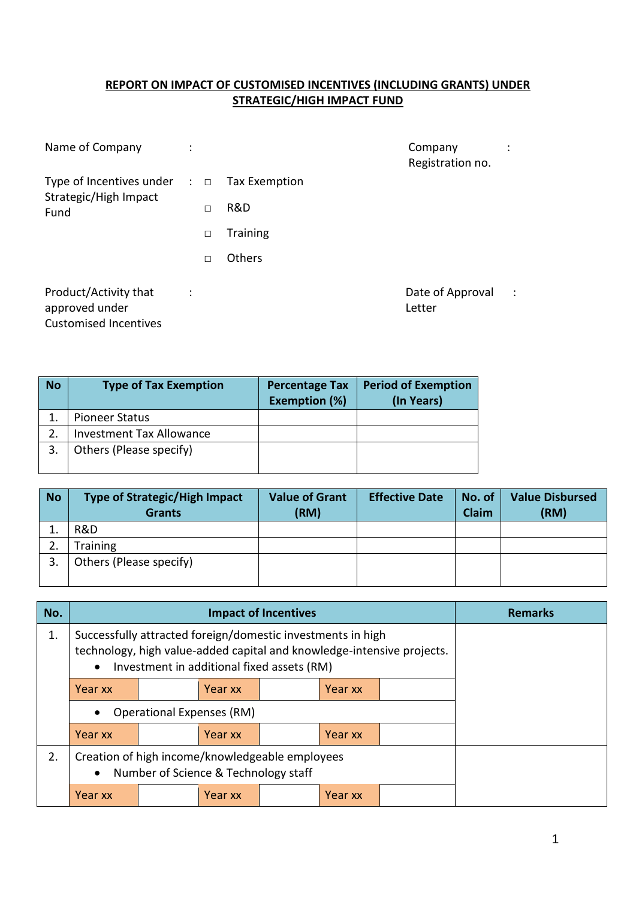## **REPORT ON IMPACT OF CUSTOMISED INCENTIVES (INCLUDING GRANTS) UNDER STRATEGIC/HIGH IMPACT FUND**

| Name of Company                                                                             |        |                 | Company<br>Registration no. |                |
|---------------------------------------------------------------------------------------------|--------|-----------------|-----------------------------|----------------|
| Type of Incentives under $\therefore$ $\Box$ Tax Exemption<br>Strategic/High Impact<br>Fund |        |                 |                             |                |
|                                                                                             | $\Box$ | R&D             |                             |                |
|                                                                                             | П      | <b>Training</b> |                             |                |
|                                                                                             | П      | Others          |                             |                |
| Product/Activity that<br>approved under<br><b>Customised Incentives</b>                     |        |                 | Date of Approval<br>Letter  | $\mathbb{R}^2$ |

| <b>No</b> | <b>Type of Tax Exemption</b>    | <b>Percentage Tax</b><br><b>Exemption (%)</b> | <b>Period of Exemption</b><br>(In Years) |
|-----------|---------------------------------|-----------------------------------------------|------------------------------------------|
|           | <b>Pioneer Status</b>           |                                               |                                          |
|           | <b>Investment Tax Allowance</b> |                                               |                                          |
|           | Others (Please specify)         |                                               |                                          |

| <b>No</b> | <b>Type of Strategic/High Impact</b><br><b>Grants</b> | <b>Value of Grant</b><br>(RM) | <b>Effective Date</b> | No. of<br>Claim | <b>Value Disbursed</b><br>(RM) |
|-----------|-------------------------------------------------------|-------------------------------|-----------------------|-----------------|--------------------------------|
|           | R&D                                                   |                               |                       |                 |                                |
| ۷.        | Training                                              |                               |                       |                 |                                |
| 3.        | Others (Please specify)                               |                               |                       |                 |                                |

| No. |                                                                                                                                                    |                                            | <b>Remarks</b> |  |         |  |  |
|-----|----------------------------------------------------------------------------------------------------------------------------------------------------|--------------------------------------------|----------------|--|---------|--|--|
| 1.  | Successfully attracted foreign/domestic investments in high<br>technology, high value-added capital and knowledge-intensive projects.<br>$\bullet$ | Investment in additional fixed assets (RM) |                |  |         |  |  |
|     | Year xx                                                                                                                                            |                                            |                |  |         |  |  |
|     | <b>Operational Expenses (RM)</b>                                                                                                                   |                                            |                |  |         |  |  |
|     | Year xx                                                                                                                                            |                                            |                |  |         |  |  |
| 2.  | Creation of high income/knowledgeable employees<br>$\bullet$                                                                                       | Number of Science & Technology staff       |                |  |         |  |  |
|     | Year xx                                                                                                                                            |                                            | Year xx        |  | Year xx |  |  |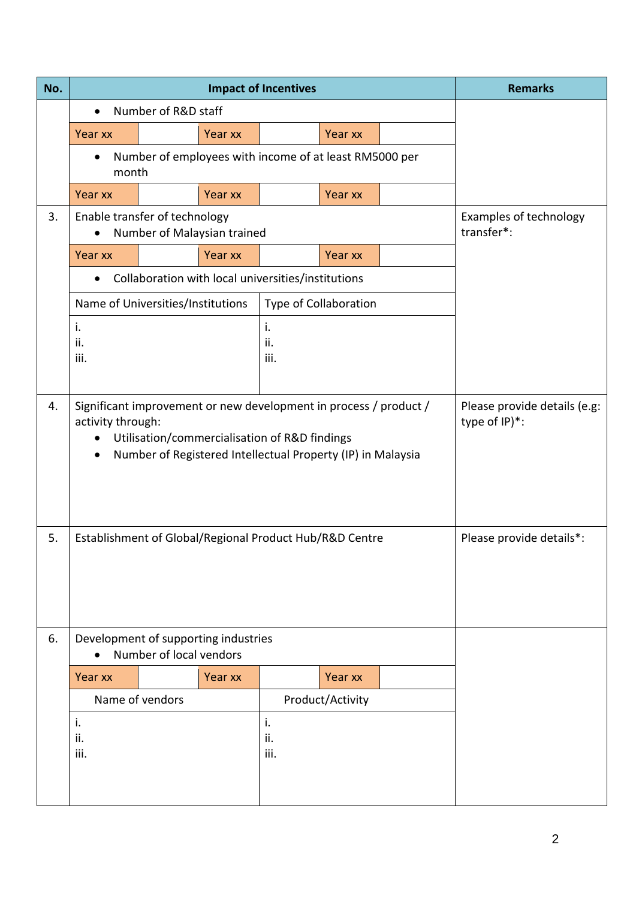| No. |                                                                                                                                                                                                        | <b>Impact of Incentives</b>                                     | <b>Remarks</b>                       |             |                       |  |                          |
|-----|--------------------------------------------------------------------------------------------------------------------------------------------------------------------------------------------------------|-----------------------------------------------------------------|--------------------------------------|-------------|-----------------------|--|--------------------------|
|     |                                                                                                                                                                                                        | Number of R&D staff                                             |                                      |             |                       |  |                          |
|     | Year xx                                                                                                                                                                                                |                                                                 | Year xx                              |             | Year xx               |  |                          |
|     | month                                                                                                                                                                                                  | Number of employees with income of at least RM5000 per          |                                      |             |                       |  |                          |
|     | Year xx                                                                                                                                                                                                |                                                                 | Year xx                              |             | Year xx               |  |                          |
| 3.  |                                                                                                                                                                                                        | Enable transfer of technology<br>Number of Malaysian trained    | Examples of technology<br>transfer*: |             |                       |  |                          |
|     | Year xx                                                                                                                                                                                                |                                                                 | Year xx                              |             | Year xx               |  |                          |
|     |                                                                                                                                                                                                        | Collaboration with local universities/institutions              |                                      |             |                       |  |                          |
|     |                                                                                                                                                                                                        | Name of Universities/Institutions                               |                                      |             | Type of Collaboration |  |                          |
|     | i.<br>i.<br>ii.<br>ii.<br>iii.<br>iii.                                                                                                                                                                 |                                                                 |                                      |             |                       |  |                          |
| 4.  | Significant improvement or new development in process / product /<br>activity through:<br>Utilisation/commercialisation of R&D findings<br>Number of Registered Intellectual Property (IP) in Malaysia | Please provide details (e.g:<br>type of IP)*:                   |                                      |             |                       |  |                          |
| 5.  | Establishment of Global/Regional Product Hub/R&D Centre                                                                                                                                                |                                                                 |                                      |             |                       |  | Please provide details*: |
| 6.  |                                                                                                                                                                                                        | Development of supporting industries<br>Number of local vendors |                                      |             |                       |  |                          |
|     | Year xx                                                                                                                                                                                                |                                                                 | Year xx                              |             | Year xx               |  |                          |
|     |                                                                                                                                                                                                        | Name of vendors                                                 |                                      |             | Product/Activity      |  |                          |
|     | i.                                                                                                                                                                                                     |                                                                 |                                      | i.          |                       |  |                          |
|     | ii.<br>iii.                                                                                                                                                                                            |                                                                 |                                      | ii.<br>iii. |                       |  |                          |
|     |                                                                                                                                                                                                        |                                                                 |                                      |             |                       |  |                          |
|     |                                                                                                                                                                                                        |                                                                 |                                      |             |                       |  |                          |